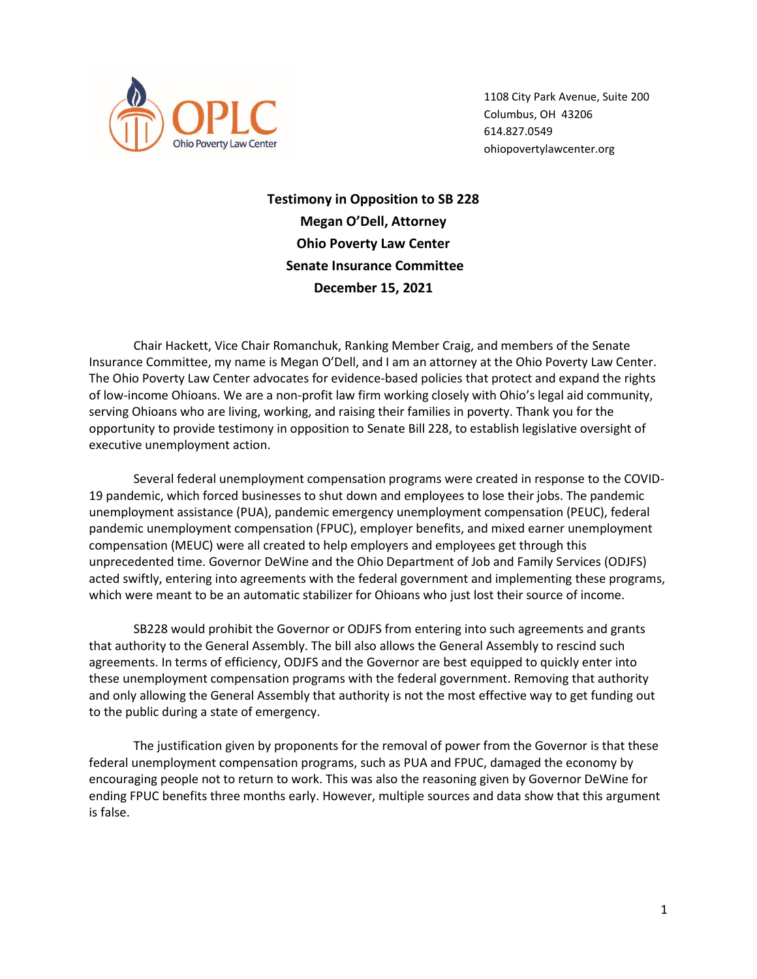

1108 City Park Avenue, Suite 200 Columbus, OH 43206 614.827.0549 ohiopovertylawcenter.org

**Testimony in Opposition to SB 228 Megan O'Dell, Attorney Ohio Poverty Law Center Senate Insurance Committee December 15, 2021**

Chair Hackett, Vice Chair Romanchuk, Ranking Member Craig, and members of the Senate Insurance Committee, my name is Megan O'Dell, and I am an attorney at the Ohio Poverty Law Center. The Ohio Poverty Law Center advocates for evidence-based policies that protect and expand the rights of low-income Ohioans. We are a non-profit law firm working closely with Ohio's legal aid community, serving Ohioans who are living, working, and raising their families in poverty. Thank you for the opportunity to provide testimony in opposition to Senate Bill 228, to establish legislative oversight of executive unemployment action.

Several federal unemployment compensation programs were created in response to the COVID-19 pandemic, which forced businesses to shut down and employees to lose their jobs. The pandemic unemployment assistance (PUA), pandemic emergency unemployment compensation (PEUC), federal pandemic unemployment compensation (FPUC), employer benefits, and mixed earner unemployment compensation (MEUC) were all created to help employers and employees get through this unprecedented time. Governor DeWine and the Ohio Department of Job and Family Services (ODJFS) acted swiftly, entering into agreements with the federal government and implementing these programs, which were meant to be an automatic stabilizer for Ohioans who just lost their source of income.

SB228 would prohibit the Governor or ODJFS from entering into such agreements and grants that authority to the General Assembly. The bill also allows the General Assembly to rescind such agreements. In terms of efficiency, ODJFS and the Governor are best equipped to quickly enter into these unemployment compensation programs with the federal government. Removing that authority and only allowing the General Assembly that authority is not the most effective way to get funding out to the public during a state of emergency.

The justification given by proponents for the removal of power from the Governor is that these federal unemployment compensation programs, such as PUA and FPUC, damaged the economy by encouraging people not to return to work. This was also the reasoning given by Governor DeWine for ending FPUC benefits three months early. However, multiple sources and data show that this argument is false.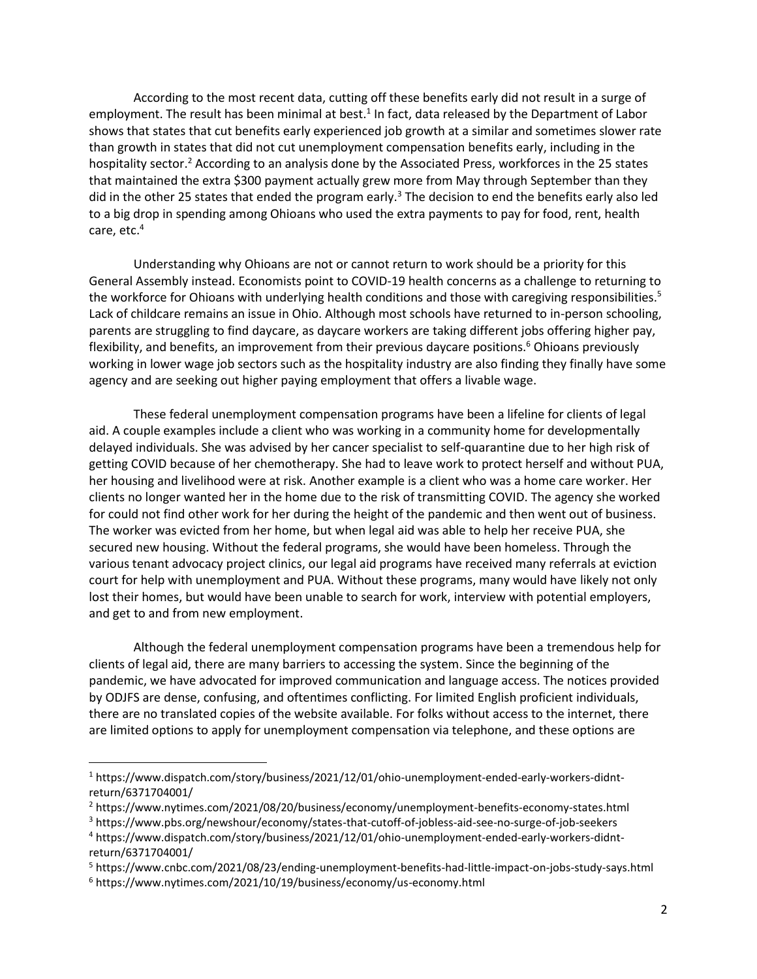According to the most recent data, cutting off these benefits early did not result in a surge of employment. The result has been minimal at best.<sup>1</sup> In fact, data released by the Department of Labor shows that states that cut benefits early experienced job growth at a similar and sometimes slower rate than growth in states that did not cut unemployment compensation benefits early, including in the hospitality sector.<sup>2</sup> According to an analysis done by the Associated Press, workforces in the 25 states that maintained the extra \$300 payment actually grew more from May through September than they did in the other 25 states that ended the program early.<sup>3</sup> The decision to end the benefits early also led to a big drop in spending among Ohioans who used the extra payments to pay for food, rent, health care, etc. 4

Understanding why Ohioans are not or cannot return to work should be a priority for this General Assembly instead. Economists point to COVID-19 health concerns as a challenge to returning to the workforce for Ohioans with underlying health conditions and those with caregiving responsibilities.<sup>5</sup> Lack of childcare remains an issue in Ohio. Although most schools have returned to in-person schooling, parents are struggling to find daycare, as daycare workers are taking different jobs offering higher pay, flexibility, and benefits, an improvement from their previous daycare positions.<sup>6</sup> Ohioans previously working in lower wage job sectors such as the hospitality industry are also finding they finally have some agency and are seeking out higher paying employment that offers a livable wage.

These federal unemployment compensation programs have been a lifeline for clients of legal aid. A couple examples include a client who was working in a community home for developmentally delayed individuals. She was advised by her cancer specialist to self-quarantine due to her high risk of getting COVID because of her chemotherapy. She had to leave work to protect herself and without PUA, her housing and livelihood were at risk. Another example is a client who was a home care worker. Her clients no longer wanted her in the home due to the risk of transmitting COVID. The agency she worked for could not find other work for her during the height of the pandemic and then went out of business. The worker was evicted from her home, but when legal aid was able to help her receive PUA, she secured new housing. Without the federal programs, she would have been homeless. Through the various tenant advocacy project clinics, our legal aid programs have received many referrals at eviction court for help with unemployment and PUA. Without these programs, many would have likely not only lost their homes, but would have been unable to search for work, interview with potential employers, and get to and from new employment.

Although the federal unemployment compensation programs have been a tremendous help for clients of legal aid, there are many barriers to accessing the system. Since the beginning of the pandemic, we have advocated for improved communication and language access. The notices provided by ODJFS are dense, confusing, and oftentimes conflicting. For limited English proficient individuals, there are no translated copies of the website available. For folks without access to the internet, there are limited options to apply for unemployment compensation via telephone, and these options are

<sup>1</sup> https://www.dispatch.com/story/business/2021/12/01/ohio-unemployment-ended-early-workers-didntreturn/6371704001/

<sup>2</sup> https://www.nytimes.com/2021/08/20/business/economy/unemployment-benefits-economy-states.html

<sup>3</sup> <https://www.pbs.org/newshour/economy/states-that-cutoff-of-jobless-aid-see-no-surge-of-job-seekers>

<sup>4</sup> https://www.dispatch.com/story/business/2021/12/01/ohio-unemployment-ended-early-workers-didntreturn/6371704001/

<sup>5</sup> <https://www.cnbc.com/2021/08/23/ending-unemployment-benefits-had-little-impact-on-jobs-study-says.html>

<sup>6</sup> <https://www.nytimes.com/2021/10/19/business/economy/us-economy.html>